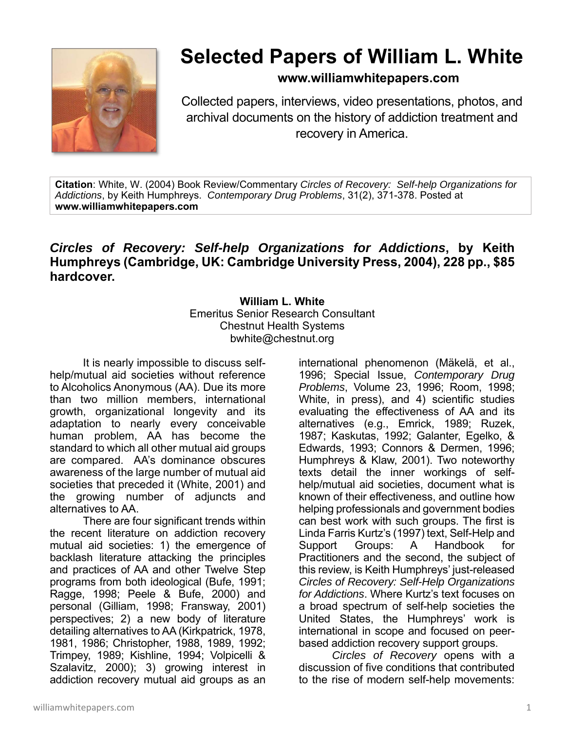

# **Selected Papers of William L. White**

## **www.williamwhitepapers.com**

Collected papers, interviews, video presentations, photos, and archival documents on the history of addiction treatment and recovery in America.

**Citation**: White, W. (2004) Book Review/Commentary *Circles of Recovery: Self-help Organizations for Addictions*, by Keith Humphreys. *Contemporary Drug Problems*, 31(2), 371-378. Posted at **www.williamwhitepapers.com** 

## *Circles of Recovery: Self-help Organizations for Addictions***, by Keith Humphreys (Cambridge, UK: Cambridge University Press, 2004), 228 pp., \$85 hardcover.**

#### **William L. White**  Emeritus Senior Research Consultant Chestnut Health Systems bwhite@chestnut.org

It is nearly impossible to discuss selfhelp/mutual aid societies without reference to Alcoholics Anonymous (AA). Due its more than two million members, international growth, organizational longevity and its adaptation to nearly every conceivable human problem, AA has become the standard to which all other mutual aid groups are compared. AA's dominance obscures awareness of the large number of mutual aid societies that preceded it (White, 2001) and the growing number of adjuncts and alternatives to AA.

There are four significant trends within the recent literature on addiction recovery mutual aid societies: 1) the emergence of backlash literature attacking the principles and practices of AA and other Twelve Step programs from both ideological (Bufe, 1991; Ragge, 1998; Peele & Bufe, 2000) and personal (Gilliam, 1998; Fransway, 2001) perspectives; 2) a new body of literature detailing alternatives to AA (Kirkpatrick, 1978, 1981, 1986; Christopher, 1988, 1989, 1992; Trimpey, 1989; Kishline, 1994; Volpicelli & Szalavitz, 2000); 3) growing interest in addiction recovery mutual aid groups as an

international phenomenon (Mäkelä, et al., 1996; Special Issue, *Contemporary Drug Problems*, Volume 23, 1996; Room, 1998; White, in press), and 4) scientific studies evaluating the effectiveness of AA and its alternatives (e.g., Emrick, 1989; Ruzek, 1987; Kaskutas, 1992; Galanter, Egelko, & Edwards, 1993; Connors & Dermen, 1996; Humphreys & Klaw, 2001). Two noteworthy texts detail the inner workings of selfhelp/mutual aid societies, document what is known of their effectiveness, and outline how helping professionals and government bodies can best work with such groups. The first is Linda Farris Kurtz's (1997) text, Self-Help and Support Groups: A Handbook for Practitioners and the second, the subject of this review, is Keith Humphreys' just-released *Circles of Recovery: Self-Help Organizations for Addictions*. Where Kurtz's text focuses on a broad spectrum of self-help societies the United States, the Humphreys' work is international in scope and focused on peerbased addiction recovery support groups.

*Circles of Recovery* opens with a discussion of five conditions that contributed to the rise of modern self-help movements: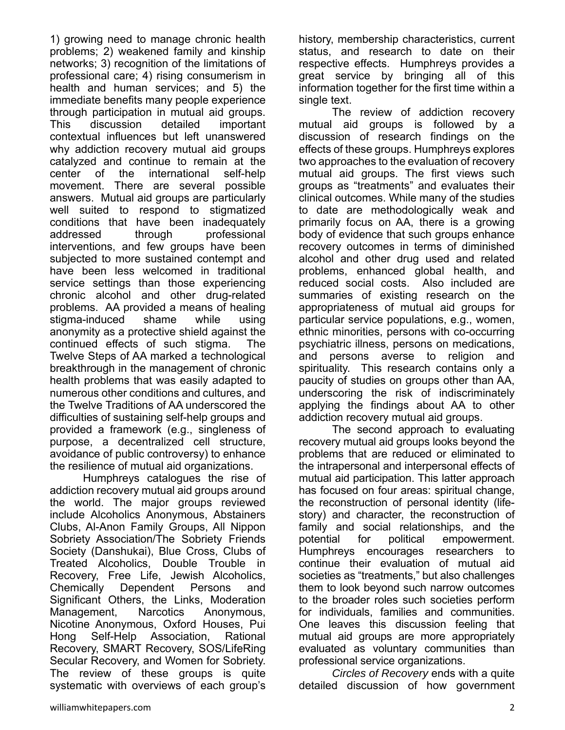1) growing need to manage chronic health problems; 2) weakened family and kinship networks; 3) recognition of the limitations of professional care; 4) rising consumerism in health and human services; and 5) the immediate benefits many people experience through participation in mutual aid groups. This discussion detailed important contextual influences but left unanswered why addiction recovery mutual aid groups catalyzed and continue to remain at the center of the international self-help movement. There are several possible answers. Mutual aid groups are particularly well suited to respond to stigmatized conditions that have been inadequately addressed through professional interventions, and few groups have been subjected to more sustained contempt and have been less welcomed in traditional service settings than those experiencing chronic alcohol and other drug-related problems. AA provided a means of healing stigma-induced shame while using anonymity as a protective shield against the continued effects of such stigma. The Twelve Steps of AA marked a technological breakthrough in the management of chronic health problems that was easily adapted to numerous other conditions and cultures, and the Twelve Traditions of AA underscored the difficulties of sustaining self-help groups and provided a framework (e.g., singleness of purpose, a decentralized cell structure, avoidance of public controversy) to enhance the resilience of mutual aid organizations.

 Humphreys catalogues the rise of addiction recovery mutual aid groups around the world. The major groups reviewed include Alcoholics Anonymous, Abstainers Clubs, Al-Anon Family Groups, All Nippon Sobriety Association/The Sobriety Friends Society (Danshukai), Blue Cross, Clubs of Treated Alcoholics, Double Trouble in Recovery, Free Life, Jewish Alcoholics, Chemically Dependent Persons and Significant Others, the Links, Moderation Management, Narcotics Anonymous, Nicotine Anonymous, Oxford Houses, Pui Hong Self-Help Association, Rational Recovery, SMART Recovery, SOS/LifeRing Secular Recovery, and Women for Sobriety. The review of these groups is quite systematic with overviews of each group's

history, membership characteristics, current status, and research to date on their respective effects. Humphreys provides a great service by bringing all of this information together for the first time within a single text.

The review of addiction recovery mutual aid groups is followed by a discussion of research findings on the effects of these groups. Humphreys explores two approaches to the evaluation of recovery mutual aid groups. The first views such groups as "treatments" and evaluates their clinical outcomes. While many of the studies to date are methodologically weak and primarily focus on AA, there is a growing body of evidence that such groups enhance recovery outcomes in terms of diminished alcohol and other drug used and related problems, enhanced global health, and reduced social costs. Also included are summaries of existing research on the appropriateness of mutual aid groups for particular service populations, e.g., women, ethnic minorities, persons with co-occurring psychiatric illness, persons on medications, and persons averse to religion and spirituality. This research contains only a paucity of studies on groups other than AA, underscoring the risk of indiscriminately applying the findings about AA to other addiction recovery mutual aid groups.

The second approach to evaluating recovery mutual aid groups looks beyond the problems that are reduced or eliminated to the intrapersonal and interpersonal effects of mutual aid participation. This latter approach has focused on four areas: spiritual change, the reconstruction of personal identity (lifestory) and character, the reconstruction of family and social relationships, and the potential for political empowerment. Humphreys encourages researchers to continue their evaluation of mutual aid societies as "treatments," but also challenges them to look beyond such narrow outcomes to the broader roles such societies perform for individuals, families and communities. One leaves this discussion feeling that mutual aid groups are more appropriately evaluated as voluntary communities than professional service organizations.

*Circles of Recovery* ends with a quite detailed discussion of how government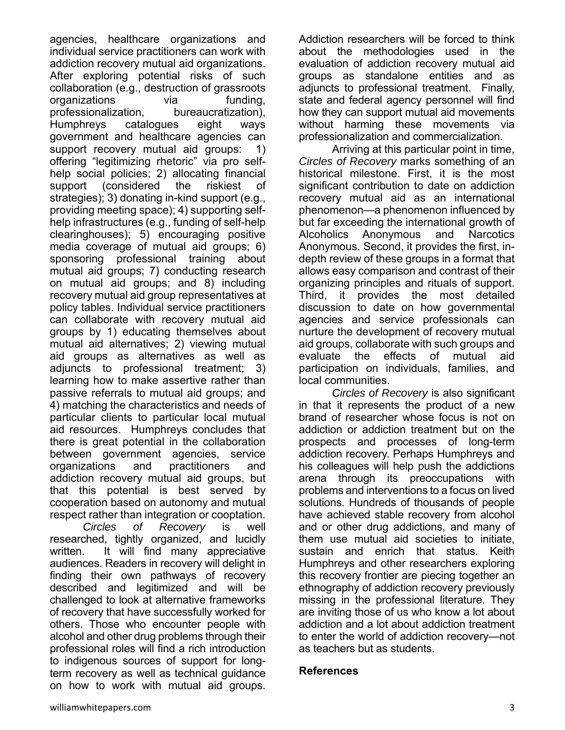agencies, healthcare organizations and individual service practitioners can work with addiction recovery mutual aid organizations. After exploring potential risks of such collaboration (e.g., destruction of grassroots organizations via funding, professionalization, bureaucratization), Humphreys catalogues eight ways government and healthcare agencies can support recovery mutual aid groups: 1) offering "legitimizing rhetoric" via pro selfhelp social policies; 2) allocating financial support (considered the riskiest of strategies); 3) donating in-kind support (e.g., providing meeting space); 4) supporting selfhelp infrastructures (e.g., funding of self-help clearinghouses); 5) encouraging positive media coverage of mutual aid groups; 6) sponsoring professional training about mutual aid groups; 7) conducting research on mutual aid groups; and 8) including recovery mutual aid group representatives at policy tables. Individual service practitioners can collaborate with recovery mutual aid groups by 1) educating themselves about mutual aid alternatives; 2) viewing mutual aid groups as alternatives as well as adjuncts to professional treatment; 3) learning how to make assertive rather than passive referrals to mutual aid groups; and 4) matching the characteristics and needs of particular clients to particular local mutual aid resources. Humphreys concludes that there is great potential in the collaboration between government agencies, service organizations and practitioners and addiction recovery mutual aid groups, but that this potential is best served by cooperation based on autonomy and mutual respect rather than integration or cooptation.

*Circles of Recovery* is well researched, tightly organized, and lucidly written. It will find many appreciative audiences. Readers in recovery will delight in finding their own pathways of recovery described and legitimized and will be challenged to look at alternative frameworks of recovery that have successfully worked for others. Those who encounter people with alcohol and other drug problems through their professional roles will find a rich introduction to indigenous sources of support for longterm recovery as well as technical guidance on how to work with mutual aid groups.

 Arriving at this particular point in time, *Circles of Recovery* marks something of an historical milestone. First, it is the most significant contribution to date on addiction recovery mutual aid as an international phenomenon—a phenomenon influenced by but far exceeding the international growth of Alcoholics Anonymous and Narcotics Anonymous. Second, it provides the first, indepth review of these groups in a format that allows easy comparison and contrast of their organizing principles and rituals of support. Third, it provides the most detailed discussion to date on how governmental agencies and service professionals can nurture the development of recovery mutual aid groups, collaborate with such groups and evaluate the effects of mutual aid participation on individuals, families, and local communities.

*Circles of Recovery* is also significant in that it represents the product of a new brand of researcher whose focus is not on addiction or addiction treatment but on the prospects and processes of long-term addiction recovery. Perhaps Humphreys and his colleagues will help push the addictions arena through its preoccupations with problems and interventions to a focus on lived solutions. Hundreds of thousands of people have achieved stable recovery from alcohol and or other drug addictions, and many of them use mutual aid societies to initiate, sustain and enrich that status. Keith Humphreys and other researchers exploring this recovery frontier are piecing together an ethnography of addiction recovery previously missing in the professional literature. They are inviting those of us who know a lot about addiction and a lot about addiction treatment to enter the world of addiction recovery—not as teachers but as students.

### **References**